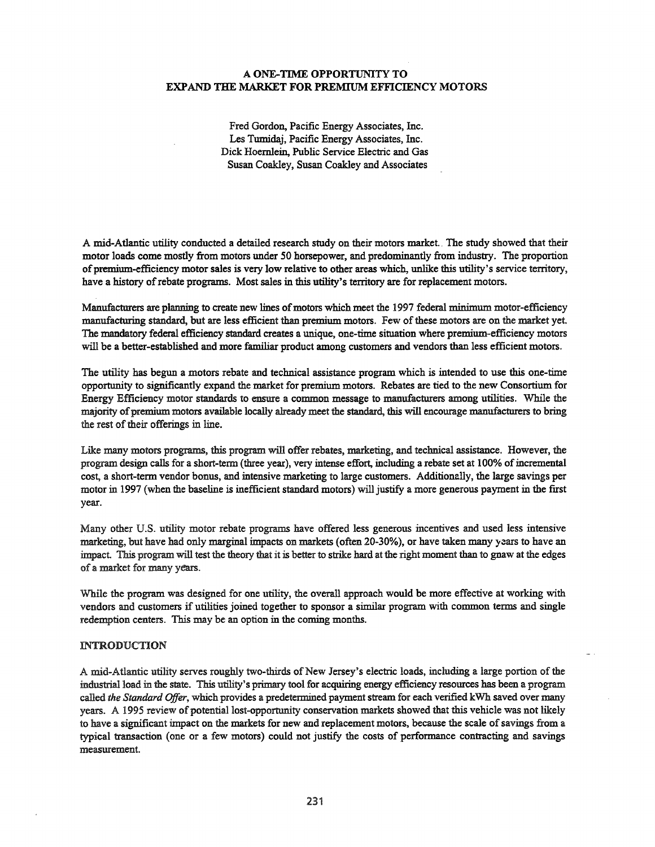### A ONE-TIME OPPORTUNITY TO EXPAND THE MARKET FOR PREMIUM EFFICIENCY MOTORS

Fred Gordon, Pacific Energy Associates, Inc. Les Tumidaj, Pacific Energy Associates, Inc. Dick Hoernlein, Public Service Electric and Gas Susan Coakley, Susan Coakley and Associates

A mid-Atlantic utility conducted a detailed research study on their motors market.. The study showed that their motor loads come mostly from motors under 50 horsepower, and predominantly from industry. The proportion of premium-efficiency motor sales is very low relative to other areas which, unlike this utility's service territory, have a history of rebate programs. Most sales in this utility's territory are for replacement motors.

Manufacturers are planning to create new lines of motors which meet the 1997 federal minimum motor-efficiency manufacturing standard, but are less efficient than premium motors. Few of these motors are on the market yet. The mandatory federal efficiency standard creates a unique, one-time situation where premium-efficiency motors will be a better-established and more familiar product among customers and vendors than less efficient motors.

The utility has begun a motors rebate and technical assistance program which is intended to use this one-time opportunity to significantly expand the market for premium motors. Rebates are tied to the new Consortium for Energy Efficiency motor standards to ensure a common message to manufacturers among utilities. While the majority of premium motors available locally already meet the standard, this will encourage manufacturers to bring the rest of their offerings in line.

Like many motors programs, this program will offer rebates, marketing, and technical assistance. However, the program design calls for a short-term (three year), very intense effort, including a rebate set at 100% ofincremental cost, a short-term vendor bonus, and intensive marketing to large customers. Additionally, the large savings per motor in 1997 (when the baseline is inefficient standard motors) will justify a more generous payment in the first year.

Many other U.S. utility motor rebate programs have offered less generous incentives and used less intensive marketing, but have had only marginal impacts on markets (often 20-30%), or have taken many years to have an impact. This program will test the theory that it is better to strike hard at the right moment than to gnaw at the edges of a market for many years.

While the program was designed for one utility, the overall approach would be more effective at working with vendors and customers if utilities joined together to sponsor <sup>a</sup> similar program with common terms and single redemption centers. This may be an option in the coming months.

#### IN'I'RODUCTION

A mid-Atlantic utility serves roughly two-thirds of New Jersey's electric loads, including a large portion of the industrial load in the state. This utility's primary tool for acquiring energy efficiency resources has been a program called *the Standard Offer,* which provides a predetermined payment stream for each verified kWh saved over many years. A 1995 review of potential lost-opportunity conservation markets showed that this vehicle was not likely to have a significant impact on the markets for new and replacement motors, because the scale of savings from a typical transaction (one or a few motors) could not justify the costs of performance contracting and savings measurement.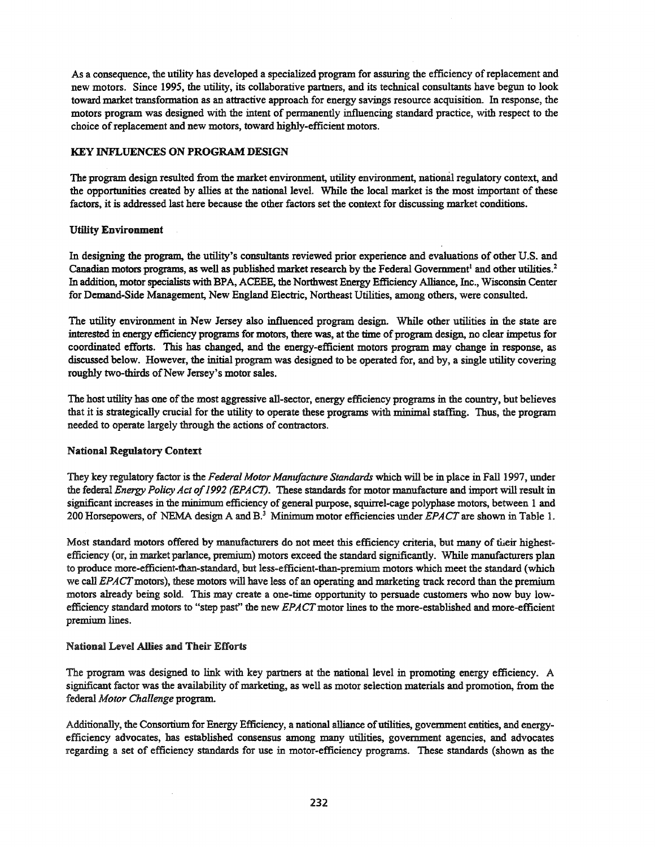As a consequence, the utility has developed a specialized program for assuring the efficiency ofreplacement and new motors. Since 1995, the utility, its collaborative partners, and its technical consultants have begun to look toward market transformation as an attractive approach for energy savings resource acquisition. In response, the motors program was designed with the intent of permanently influencing standard practice, with respect to the choice of replacement and new motors, toward highly-efficient motors.

### KEY INFLUENCES ON PROGRAM DESIGN

The program design resulted from the market environment, utility environment, national regulatory context, and the opportunities created by allies at the national level. While the local market is the most important of these factors, it is addressed last here because the other factors set the context for discussing market conditions.

### Utility Environment

In designing the program, the utility's consultants reviewed prior experience and evaluations of other U.S. and Canadian motors programs, as well as published market research by the Federal Government<sup>1</sup> and other utilities.<sup>2</sup> In addition, motor specialists with BPA, ACEEE, the Northwest Energy Efficiency Alliance, Inc., Wisconsin Center for Demand-Side Management, New England Electric, Northeast Utilities, among others, were consulted.

The utility environment in New Jersey also influenced program design. While other utilities in the state are interested in energy efficiency programs for motors, there was, at the time of program design, no clear impetus for coordinated efforts. This has changed, and the energy-efficient motors program may change in response, as discussed below. However, the initial program was designed to be operated for, and by, a single utility covering roughly two-thirds of New Jersey's motor sales.

The host utility has one of the most aggressive all-sector, energy efficiency programs in the country, but believes that it is strategically crucial for the utility to operate these programs with minimal staffmg. Thus, the program needed to operate largely through the actions of contractors.

### National Regulatory Context:

They key regulatory factor is the *Federal Motor Manufacture Standards* which will be in place in Fall 1997, under the federal *Energy Policy Act of*1992 *(EPA*C1). These standards for motor manufacture and import will result in significant increases in the minimum efficiency of general purpose, squirrel-cage polyphase motors, between 1 and 200 Horsepowers, of NEMA design A and B.<sup>3</sup> Minimum motor efficiencies under *EPACT* are shown in Table 1.

Most standard motors offered by manufacturers do not meet this efficiency criteria, but many of their highestefficiency (or, in market parlance, premium) motors exceed the standard significantly. While manufacturers plan to produce more-efficient-than-standard, but less-efficient-than-premium motors which meet the standard (which we call *EPACT*motors), these motors will have less of an operating and marketing track record than the premium motors already being sold. This may create a one-time opportunity to persuade customers who now buy lowefficiency standard motors to "step past" the new *EPACT*motor lines to the more-established and more-efficient premium lines.

### National Level Allies and Their Efforts

The program was designed to link with key partners at the national level in promoting energy efficiency. A significant factor was the availability of marketing, as well as motor selection materials and promotion, from the federal *Motor Challenge* program.

Additionally, the Consortium for Energy Efficiency, a national alliance of utilities, government entities, and energyefficiency advocates, has established consensus among many utilities, government agencies, and advocates regarding a set of efficiency standards for use in motor-efficiency programs. These standards (shown as the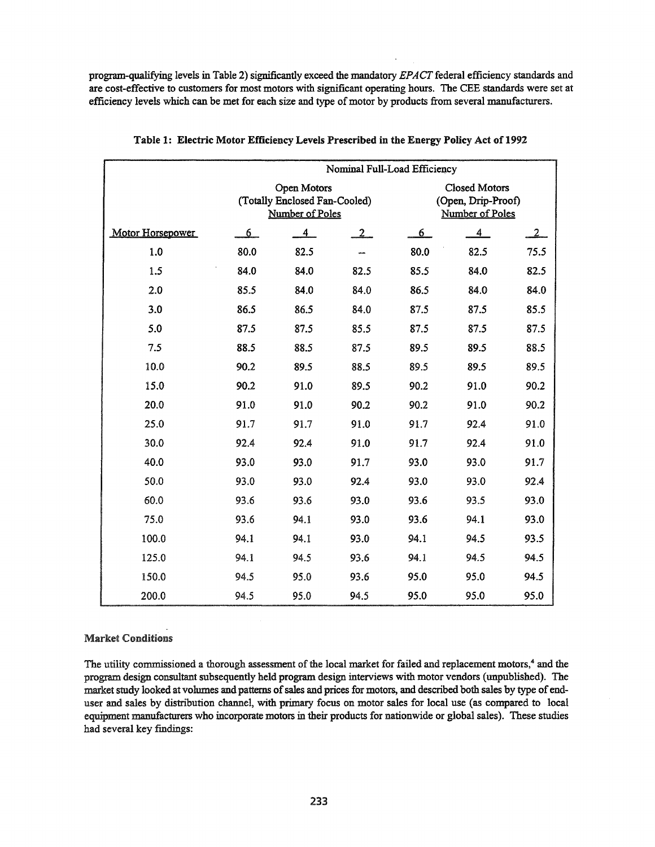program-qualifying levels in Table 2) significantly exceed the mandatory *EPACT* federal efficiency standards and are cost-effective to customers for most motors with significant operating hours. The CEE standards were set at efficiency levels which can be met for each size and type ofmotor by products from several manufacturers.

|                  |                | Nominal Full-Load Efficiency                                    |              |                                                               |                |                |  |  |  |
|------------------|----------------|-----------------------------------------------------------------|--------------|---------------------------------------------------------------|----------------|----------------|--|--|--|
|                  |                | Open Motors<br>(Totally Enclosed Fan-Cooled)<br>Number of Poles |              | <b>Closed Motors</b><br>(Open, Drip-Proof)<br>Number of Poles |                |                |  |  |  |
| Motor Horsepower | 6 <sup>1</sup> | 4                                                               | $\mathbf{2}$ | 6 <sub>1</sub>                                                | $\overline{4}$ | $\overline{2}$ |  |  |  |
| 1.0              | 80.0           | 82.5                                                            |              | 80.0                                                          | 82.5           | 75.5           |  |  |  |
| 1.5              | 84.0           | 84.0                                                            | 82.5         | 85.5                                                          | 84.0           | 82.5           |  |  |  |
| 2.0              | 85.5           | 84.0                                                            | 84.0         | 86.5                                                          | 84.0           | 84.0           |  |  |  |
| 3.0              | 86.5           | 86.5                                                            | 84.0         | 87.5                                                          | 87.5           | 85.5           |  |  |  |
| 5.0              | 87.5           | 87.5                                                            | 85.5         | 87.5                                                          | 87.5           | 87.5           |  |  |  |
| 7.5              | 88.5           | 88.5                                                            | 87.5         | 89.5                                                          | 89.5           | 88.5           |  |  |  |
| 10.0             | 90.2           | 89.5                                                            | 88.5         | 89.5                                                          | 89.5           | 89.5           |  |  |  |
| 15.0             | 90.2           | 91.0                                                            | 89.5         | 90.2                                                          | 91.0           | 90.2           |  |  |  |
| 20.0             | 91.0           | 91.0                                                            | 90.2         | 90.2                                                          | 91.0           | 90.2           |  |  |  |
| 25.0             | 91.7           | 91.7                                                            | 91.0         | 91.7                                                          | 92.4           | 91.0           |  |  |  |
| 30.0             | 92.4           | 92.4                                                            | 91.0         | 91.7                                                          | 92.4           | 91.0           |  |  |  |
| 40.0             | 93.0           | 93.0                                                            | 91.7         | 93.0                                                          | 93.0           | 91.7           |  |  |  |
| 50.0             | 93.0           | 93.0                                                            | 92.4         | 93.0                                                          | 93.0           | 92.4           |  |  |  |
| 60.0             | 93.6           | 93.6                                                            | 93.0         | 93.6                                                          | 93.5           | 93.0           |  |  |  |
| 75.0             | 93.6           | 94.1                                                            | 93.0         | 93.6                                                          | 94.1           | 93.0           |  |  |  |
| 100.0            | 94.1           | 94.1                                                            | 93.0         | 94.1                                                          | 94.5           | 93.5           |  |  |  |
| 125.0            | 94.1           | 94.5                                                            | 93.6         | 94.1                                                          | 94.5           | 94.5           |  |  |  |
| 150.0            | 94.5           | 95.0                                                            | 93.6         | 95.0                                                          | 95.0           | 94.5           |  |  |  |
| 200.0            | 94.5           | 95.0                                                            | 94.5         | 95.0                                                          | 95.0           | 95.0           |  |  |  |

Table 1: Electric Motor Efficiency Levels Prescribed in the Energy Policy Act of 1992

### Market Conditions

The utility commissioned a thorough assessment of the local market for failed and replacement motors, $4$  and the program design consultant subsequently held program design interviews with motor vendors (unpublished). The market study looked at volumes and patterns of sales and prices for motors, and described both sales by type of enduser and sales by distribution channel, with primary focus on motor sales for local use (as compared to local equipment manufacturers who incorporate motors in their products for nationwide or global sales). These studies had several key findings: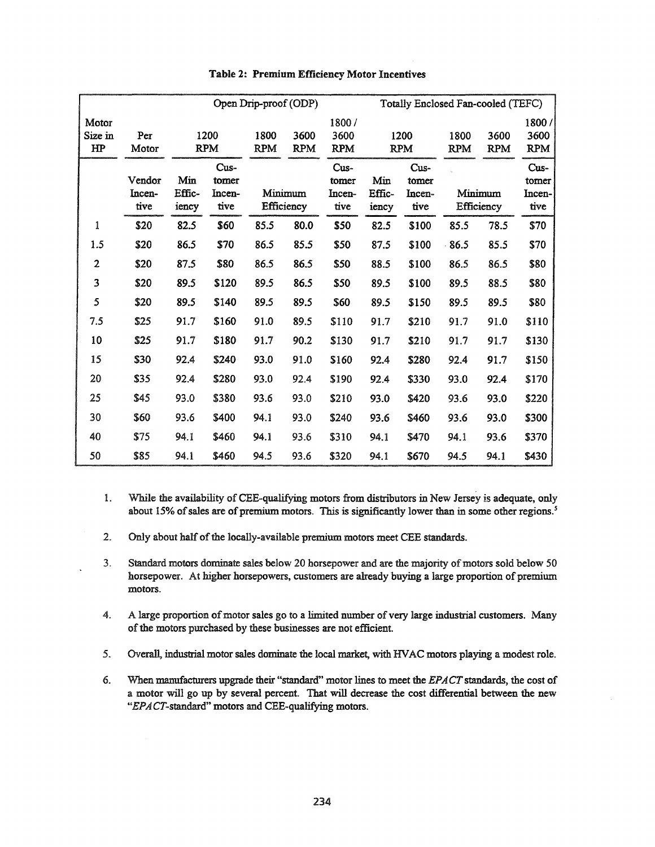|                        |                          | Open Drip-proof (ODP)  |                         |                    |                    | Totally Enclosed Fan-cooled (TEFC) |                        |                                 |                       |                    |                                 |
|------------------------|--------------------------|------------------------|-------------------------|--------------------|--------------------|------------------------------------|------------------------|---------------------------------|-----------------------|--------------------|---------------------------------|
| Motor<br>Size in<br>HP | Per<br>Motor             |                        | 1200                    | 1800<br><b>RPM</b> | 3600<br><b>RPM</b> | 1800/<br>3600<br><b>RPM</b>        |                        | 1200<br><b>RPM</b>              | 1800<br><b>RPM</b>    | 3600<br><b>RPM</b> | 1800/<br>3600<br><b>RPM</b>     |
|                        |                          | <b>RPM</b><br>Cus-     |                         |                    |                    | Cus-                               |                        |                                 |                       |                    |                                 |
|                        | Vendor<br>Incen-<br>tive | Min<br>Effic-<br>iency | tomer<br>Incen-<br>tive | Minimum            | Efficiency         | tomer<br>Incen-<br>tive            | Min<br>Effic-<br>iency | Cus-<br>tomer<br>Incen-<br>tive | Minimum<br>Efficiency |                    | Cus-<br>tomer<br>Incen-<br>tive |
| 1                      | \$20                     | 82.5                   | \$60                    | 85.5               | 80.0               | \$50                               | 82.5                   | \$100                           | 85.5                  | 78.5               | \$70                            |
| 1.5                    | \$20                     | 86.5                   | \$70                    | 86.5               | 85.5               | \$50                               | 87.5                   | \$100                           | 86.5                  | 85.5               | \$70                            |
| $\overline{2}$         | \$20                     | 87.5                   | \$80                    | 86.5               | 86.5               | \$50                               | 88.5                   | \$100                           | 86.5                  | 86.5               | \$80                            |
| 3                      | \$20                     | 89.5                   | \$120                   | 89.5               | 86.5               | \$50                               | 89.5                   | \$100                           | 89.5                  | 88.5               | \$80                            |
| 5                      | \$20                     | 89.5                   | \$140                   | 89.5               | 89.5               | \$60                               | 89.5                   | \$150                           | 89.5                  | 89.5               | \$80                            |
| 7.5                    | \$25                     | 91.7                   | \$160                   | 91.0               | 89.5               | \$110                              | 91.7                   | \$210                           | 91.7                  | 91.0               | \$110                           |
| 10                     | \$25                     | 91.7                   | \$180                   | 91.7               | 90.2               | \$130                              | 91.7                   | \$210                           | 91.7                  | 91.7               | \$130                           |
| 15                     | \$30                     | 92.4                   | \$240                   | 93.0               | 91.0               | \$160                              | 92.4                   | \$280                           | 92.4                  | 91.7               | \$150                           |
| 20                     | \$35                     | 92.4                   | \$280                   | 93.0               | 92.4               | \$190                              | 92.4                   | \$330                           | 93.0                  | 92.4               | \$170                           |
| 25                     | \$45                     | 93.0                   | \$380                   | 93.6               | 93.0               | \$210                              | 93.0                   | \$420                           | 93.6                  | 93.0               | \$220                           |
| 30                     | \$60                     | 93.6                   | \$400                   | 94.1               | 93.0               | \$240                              | 93.6                   | \$460                           | 93.6                  | 93.0               | \$300                           |
| 40                     | \$75                     | 94.1                   | \$460                   | 94.1               | 93.6               | \$310                              | 94.1                   | \$470                           | 94.1                  | 93.6               | \$370                           |
| 50                     | \$85                     | 94.1                   | \$460                   | 94.5               | 93.6               | \$320                              | 94.1                   | \$670                           | 94.5                  | 94.1               | \$430                           |

### Table 2: Premium Efficiency Motor Incentives

- 1. While the availability of CEE-qualifying motors from distributors in New Jersey is adequate, only about 15% of sales are of premium motors. This is significantly lower than in some other regions.<sup>5</sup>
- 2. Only about half of the locally-available premium motors meet CEE standards.
- 3. Standard motors dominate sales below 20 horsepower and are the majority of motors sold below 50 horsepower. At higher horsepowers, customers are already buying a large proportion of premium motors.
- 4. A large proportion of motor sales go to a limited number of very large industrial customers. Many of the motors purchased by these businesses are not efficient.
- 5. Overall, industrial motor sales dominate the local market, with HVAC motors playing a modest role.
- 6. When manufacturers upgrade their "standard" motor lines to meet the *EPACT*standards, the cost of a motor will go up by several percent. That will decrease the cost differential between the new *"EPA*CT-standard" motors and CEE-qualifying motors.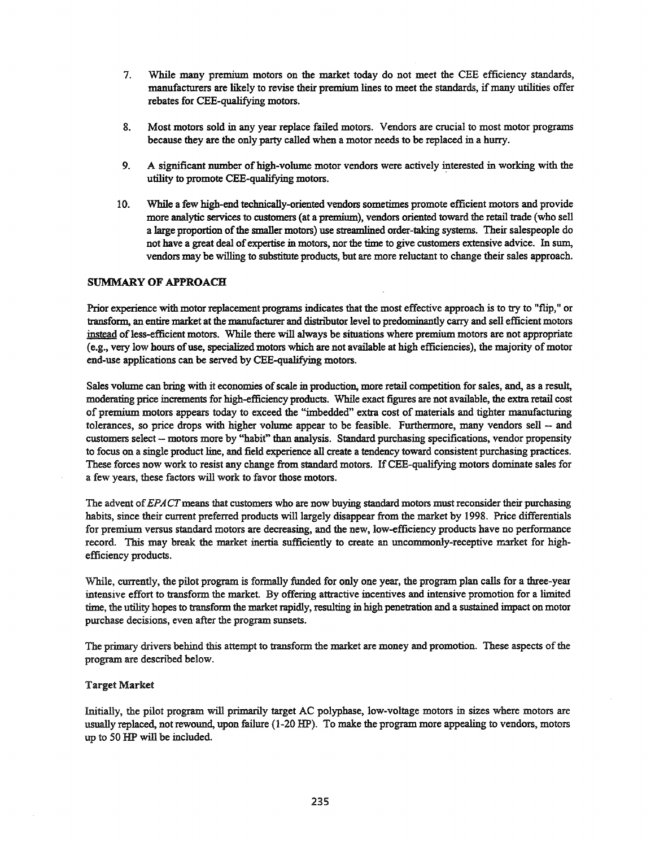- 7. While many premium motors on the market today do not meet the CEE efficiency standards, manufacturers are likely to revise their premium lines to meet the standards, if many utilities offer rebates for CEE-qualifying motors.
- 8. Most motors sold in any year replace failed motors. Vendors are crucial to most motor programs because they are the only party called when a motor needs to be replaced in a hurry.
- 9. A significant number of high-volume motor vendors were actively interested in working with the utility to promote CEE-qualifying motors.
- 10. While a few high-end technically-oriented vendors sometimes promote efficient motors and provide more analytic services to customers (at a premium), vendors oriented toward the retail trade (who sell a large proportion of the smaller motors) use streamlined order-taking systems. Their salespeople do not have a great deal of expertise in motors, nor the time to give customers extensive advice. In sum, vendors may be willing to substitute products, but are more reluctant to change their sales approach.

## SUMMARY OF APPROACH

Prior experience with motor replacement programs indicates that the most effective approach is to try to "flip," or transform, an entire market at the manufacturer and distributor level to predominantly carry and sell efficient motors instead of less-efficient motors. While there will always be situations where premium motors are not appropriate (e.g., very low hours ofuse, specialized motors which are not available at high efficiencies), the majority ofmotor end-use applications can be served by CEE-qualifying motors.

Sales volume can bring with it economies of scale in production, more retail competition for sales, and, as a result, moderating price increments for high-efficiency products. While exact figures are not available, the extra retail cost of premium motors appears today to exceed the "imbedded" extra cost of materials and tighter manufacturing tolerances, so price drops with higher volume appear to be feasible. Furthermore, many vendors sell - and customers select - motors more by "habit" than analysis. Standard purchasing specifications, vendor propensity to focus on a single product line, and field experience all create a tendency toward consistent purchasing practices. These forces now work to resist any change from standard motors. IfCEE-qualifying motors dominate sales for a few years, these factors will work to favor those motors.

The advent of*EPACTmeans* that customers who are now buying standard motors must reconsider their purchasing habits, since their current preferred products will largely disappear from the market by 1998. Price differentials for premium versus standard motors are decreasing, and the new, low-efficiency products have no performance record. This may break the market inertia sufficiently to create an uncommonly-receptive market for highefficiency products.

While, currently, the pilot program is formally funded for only one year, the program plan calls for a three-year intensive effort to transform the market. By offering attractive incentives and intensive promotion for a limited time, the utility hopes to transform the market rapidly, resulting in high penetration and a sustained impact on motor purchase decisions, even after the program sunsets.

The primary drivers behind this attempt to transform the market are money and promotion. These aspects of the program are described below.

#### Target Market

Initially, the pilot program will primarily target AC polyphase, low-voltage motors in sizes where motors are usually replaced, not rewound, upon failure (1-20 HP). To make the program more appealing to vendors, motors up to 50 HP will be included.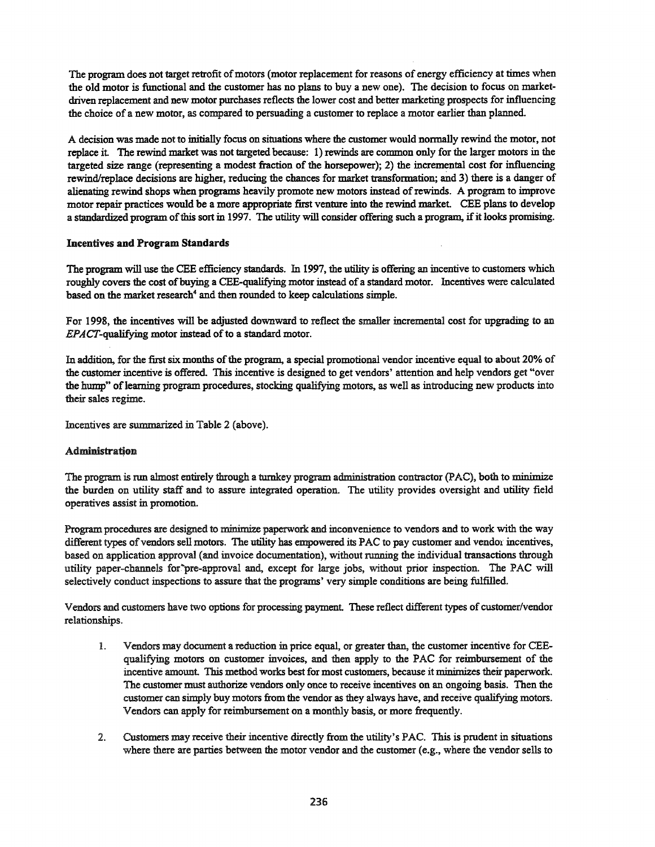The program does not target retrofit of motors (motor replacement for reasons of energy efficiency at times when the old motor is functional and the customer has no plans to buy a new one). The decision to focus on marketdriven replacement and new motor purchases reflects the lower cost and better marketing prospects for influencing the choice of a new motor, as compared to persuading a customer to replace a motor earlier than planned.

A decision was made not to initially focus on situations where the customer would normally rewind the motor, not replace it The rewind market was not targeted because: 1) rewinds are common only for the larger motors in the targeted size range (representing a modest fraction of the horsepower); 2) the incremental cost for influencing rewind/replace decisions are higher, reducing the chances for market transformation; and 3) there is a danger of alienating rewind shops when programs heavily promote new motors instead ofrewinds. A program to improve motor repair practices would be a more appropriate first venture into the rewind market. CEE plans to develop a standardized program of this sort in 1997. The utility will consider offering such a program, if it looks promising.

### Incentives and Program Standards

The program will use the CEE efficiency standards. In 1997, the utility is offering an incentive to customers which roughly covers the cost of buying a CEE-qualifying motor instead of a standard motor. Incentives were calculated based on the market research<sup>4</sup> and then rounded to keep calculations simple.

For 1998, the incentives will be adjusted downward to reflect the smaller incremental cost for upgrading to an EPACT-qualifying motor instead of to a standard motor.

In addition, for the first six months of the program, a special promotional vendor incentive equal to about 20% of the customer incentive is offered. This incentive is designed to get vendors' attention and help vendors get "over the hump" of learning program procedures, stocking qualifying motors, as well as introducing new products into their sales regime.

Incentives are summarized in Table 2 (above).

# Administration

The program is run almost entirely through a turnkey program administration contractor (PAC), both to minimize the burden on utility staff and to assure integrated operation. The utility provides oversight and utility field operatives assist in promotion.

Program procedures are designed to minimize paperwork and inconvenience to vendors and to work with the way different types of vendors sell motors. The utility has empowered its PAC to pay customer and vendor incentives, based on application approval (and invoice documentation), without running the individual transactions through utility paper-channels for"pre-approval and, except for large jobs, without prior inspection. The PAC will selectively conduct inspections to assure that the programs' very simple conditions are being fulfilled.

Vendors and customers have two options for processing payment. These reflect different types of customer/vendor relationships.

- 1. Vendors may document a reduction in price equal, or greater than., the customer incentive for CEEqualifying motors on customer invoices, and then apply to the PAC for reimbursement of the incentive amount. This method works best for most customers, because it minimizes their paperwork. The customer must authorize vendors only once to receive incentives on an ongoing basis. Then the customer can simply buy motors from the vendor as they always have, and receive qualifying motors. Vendors can apply for reimbursement on a monthly basis, or more frequently.
- 2. Customers may receive their incentive directly from the utility's PAC. This is prudent in situations where there are parties between the motor vendor and the customer (e.g., where the vendor sells to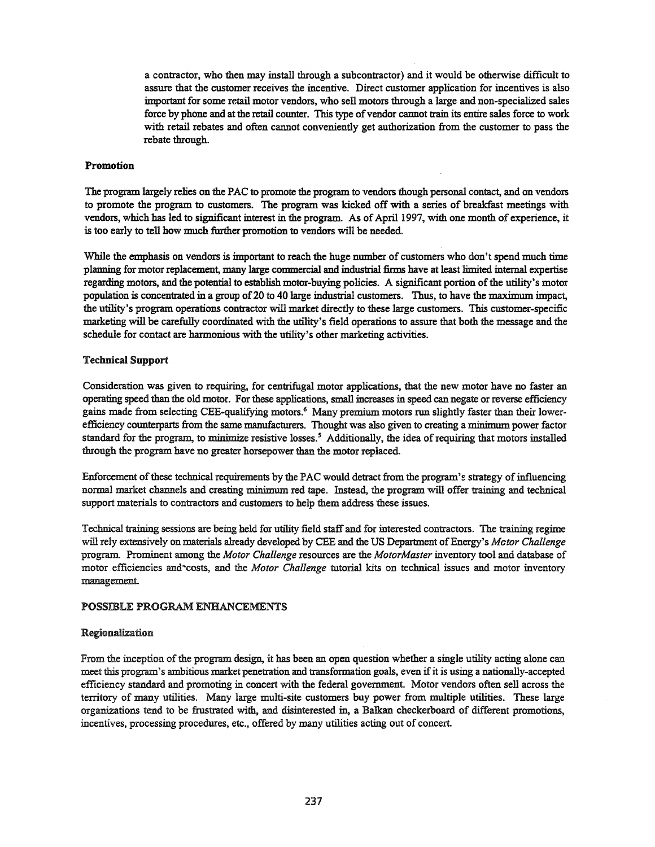a contractor, who then may install through a subcontractor) and it would be otherwise difficult to assure that the customer receives the incentive. Direct customer application for incentives is also important for some retail motor vendors, who sell motors through a large and non-specialized sales force by phone and at the retail counter. This type of vendor cannot train its entire sales force to work with retail rebates and often cannot conveniently get authorization from the customer to pass the rebate through.

#### Promotion

The program largely relies on the PAC to promote the program to vendors though personal contact, and on vendors to promote the program to customers. The program was kicked off with a series of breakfast meetings with vendors, which has led to significant interest in the program. As of April 1997, with one month of experience, it is too early to tell how much further promotion to vendors will be needed.

While the emphasis on vendors is important to reach the huge number of customers who don't spend much time planning for motor replacement, many large commercial and industrial firms have at least limited internal expertise regarding motors, and the potential to establish motor-buying policies. A significant portion ofthe utility's motor population is concentrated in a group of20 to 40 large industrial customers. Thus, to have the maximum impact, the utility's program operations contractor will market directly to these large customers. This customer-specific marketing will be carefully coordinated with the utility's field operations to assure that both the message and the schedule for contact are harmonious with the utility's other marketing activities.

### Technical Support

Consideration was given to requiring, for centrifugal motor applications, that the new motor have no faster an operating speed than the old motor. For these applications, small increases in speed can negate or reverse efficiency gains made from selecting CEE-qualifying motors.<sup>6</sup> Many premium motors run slightly faster than their lowerefficiency counterparts from the same manufacturers. Thought was also given to creating a minimum power factor standard for the program, to minimize resistive losses.<sup>5</sup> Additionally, the idea of requiring that motors installed through the program have no greater horsepower than the motor replaced.

Enforcement of these technical requirements by the PAC would detract from the program's strategy of influencing normal market channels and creating minimum red tape. Instead, the program will offer training and technical support materials to contractors and customers to help them address these issues.

Technical training sessions are being held for utility field staff and for interested contractors. The training regime will rely extensively on materials already developed by CEE and the US Department of Energy's *Mctor Challenge* program. Prominent among the *Motor Challenge* resources are the *MotorMaster* inventory tool and database of motor efficiencies and~costs, and the *Motor Challenge* tutorial kits on technical issues and motor inventory management.

### POSSIBLE PROGRAM ENHANCEMENTS

#### Regionalization

From the inception of the program design, it has been an open question whether a single utility acting alone can meet this program's ambitious market penetration and transformation goals, even ifit is using <sup>a</sup> nationally-accepted efficiency standard and promoting in concert with the federal government. Motor vendors often sell across the territory of many utilities. Many large multi-site customers buy power from multiple utilities. These large organizations tend to be frustrated with, and disinterested in, a Balkan checkerboard of different promotions, incentives, processing procedures, etc., offered by many utilities acting out of concert.